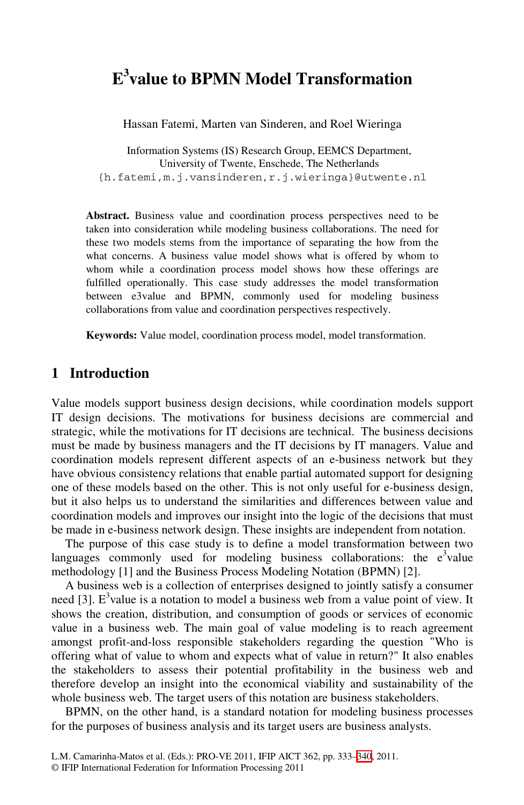# **E3 value to BPMN Model Transformation**

Hassan Fatemi, Marten van Sinderen, and Roel Wieringa

Information Systems (IS) Research Group, EEMCS Department, University of Twente, Enschede, The Netherlands {h.fatemi,m.j.vansinderen,r.j.wieringa}@utwente.nl

**Abstract.** Business value and coordination process perspectives need to be taken into consideration while modeling business collaborations. The need for these two models stems from the importance of separating the how from the what concerns. A business value model shows what is offered by whom to whom while a coordination process model shows how these offerings are fulfilled operationally. This case study addresses the model transformation between e3value and BPMN, commonly used for modeling business collaborations from value and coordination perspectives respectively.

**Keywords:** Value model, coordination process model, model transformation.

#### **1 Introduction**

Value models support business design decisions, while coordination models support IT design decisions. The motivations for business decisions are commercial and strategic, while the motivations for IT decisions are technical. The business decisions must be made by business managers and the IT decisions by IT managers. Value and coordination models represent different aspects of an e-business network but they have obvious consistency relations that enable partial automated support for designing one of these models based on the other. This is not only useful for e-business design, but it also helps us to understand the similarities and differences between value and coordination models and improves our insight into the logic of the decisions that must be made in e-business network design. These insights are independent from notation.

The purpose of this case study is to define a model transformation between two languages commonly used for modeling business collaborations: the  $e<sup>3</sup>$  value methodology [1] and the Business Process Modeling Notation (BPMN) [2].

A business web is a collection of enterprises designed to jointly satisfy a consumer need [3].  $E<sup>3</sup>$  value is a notation to model a business web from a value point of view. It shows the creation, distribution, and consumption of goods or services of economic value in a business web. The main goal of value modeling is to reach agreement amongst profit-and-loss responsible sta[keho](#page-7-0)lders regarding the question "Who is offering what of value to whom and expects what of value in return?" It also enables the stakeholders to assess their potential profitability in the business web and therefore develop an insight into the economical viability and sustainability of the whole business web. The target users of this notation are business stakeholders.

BPMN, on the other hand, is a standard notation for modeling business processes for the purposes of business analysis and its target users are business analysts.

L.M. Camarinha-Matos et al. (Eds.): PRO-VE 2011, IFIP AICT 362, pp. 333–340, 2011.

<sup>©</sup> IFIP International Federation for Information Processing 2011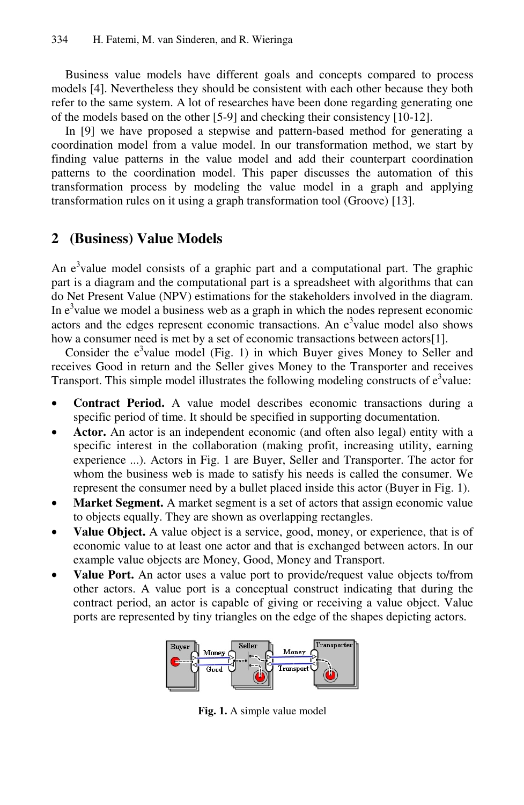Business value models have different goals and concepts compared to process models [4]. Nevertheless they should be consistent with each other because they both refer to the same system. A lot of researches have been done regarding generating one of the models based on the other [5-9] and checking their consistency [10-12].

In [9] we have proposed a stepwise and pattern-based method for generating a coordination model from a value model. In our transformation method, we start by finding value patterns in the value model and add their counterpart coordination patterns to the coordination model. This paper discusses the automation of this transformation process by modeling the value model in a graph and applying transformation rules on it using a graph transformation tool (Groove) [13].

## **2 (Business) Value Models**

An  $e<sup>3</sup>$  value model consists of a graphic part and a computational part. The graphic part is a diagram and the computational part is a spreadsheet with algorithms that can do Net Present Value (NPV) estimations for the stakeholders involved in the diagram. In  $e<sup>3</sup>$  value we model a business web as a graph in which the nodes represent economic actors and the edges represent economic transactions. An  $e<sup>3</sup>$  value model also shows how a consumer need is met by a set of economic transactions between actors[1].

Consider the  $e<sup>3</sup>$ value model (Fig. 1) in which Buyer gives Money to Seller and receives Good in return and the Seller gives Money to the Transporter and receives Transport. This simple model illustrates the following modeling constructs of  $e<sup>3</sup>$ value:

- **Contract Period.** A value model describes economic transactions during a specific period of time. It should be specified in supporting documentation.
- **Actor.** An actor is an independent economic (and often also legal) entity with a specific interest in the collaboration (making profit, increasing utility, earning experience ...). Actors in Fig. 1 are Buyer, Seller and Transporter. The actor for whom the business web is made to satisfy his needs is called the consumer. We represent the consumer need by a bullet placed inside this actor (Buyer in Fig. 1).
- **Market Segment.** A market segment is a set of actors that assign economic value to objects equally. They are shown as overlapping rectangles.
- Value Object. A value object is a service, good, money, or experience, that is of economic value to at least one actor and that is exchanged between actors. In our example value objects are Money, Good, Money and Transport.
- **Value Port.** An actor uses a value port to provide/request value objects to/from other actors. A value port is a conceptual construct indicating that during the contract period, an actor is capable of giving or receiving a value object. Value ports are represented by tiny triangles on the edge of the shapes depicting actors.



**Fig. 1.** A simple value model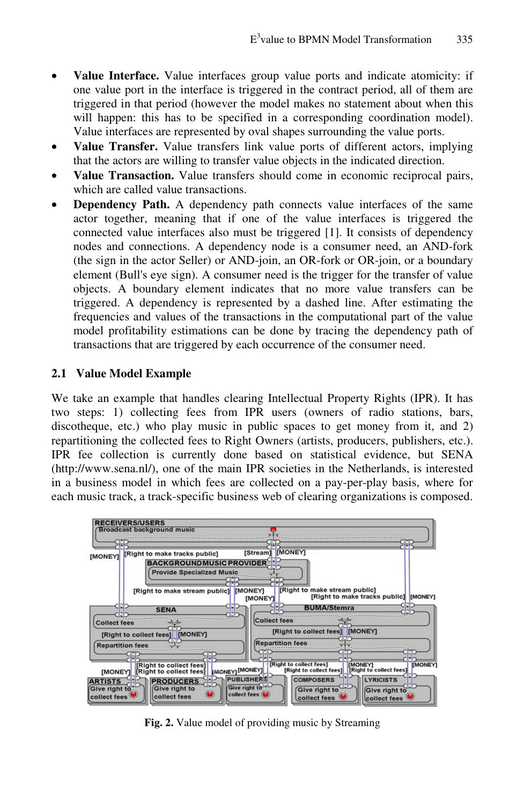- **Value Interface.** Value interfaces group value ports and indicate atomicity: if one value port in the interface is triggered in the contract period, all of them are triggered in that period (however the model makes no statement about when this will happen: this has to be specified in a corresponding coordination model). Value interfaces are represented by oval shapes surrounding the value ports.
- **Value Transfer.** Value transfers link value ports of different actors, implying that the actors are willing to transfer value objects in the indicated direction.
- **Value Transaction.** Value transfers should come in economic reciprocal pairs, which are called value transactions.
- **Dependency Path.** A dependency path connects value interfaces of the same actor together, meaning that if one of the value interfaces is triggered the connected value interfaces also must be triggered [1]. It consists of dependency nodes and connections. A dependency node is a consumer need, an AND-fork (the sign in the actor Seller) or AND-join, an OR-fork or OR-join, or a boundary element (Bull's eye sign). A consumer need is the trigger for the transfer of value objects. A boundary element indicates that no more value transfers can be triggered. A dependency is represented by a dashed line. After estimating the frequencies and values of the transactions in the computational part of the value model profitability estimations can be done by tracing the dependency path of transactions that are triggered by each occurrence of the consumer need.

#### **2.1 Value Model Example**

We take an example that handles clearing Intellectual Property Rights (IPR). It has two steps: 1) collecting fees from IPR users (owners of radio stations, bars, discotheque, etc.) who play music in public spaces to get money from it, and 2) repartitioning the collected fees to Right Owners (artists, producers, publishers, etc.). IPR fee collection is currently done based on statistical evidence, but SENA (http://www.sena.nl/), one of the main IPR societies in the Netherlands, is interested in a business model in which fees are collected on a pay-per-play basis, where for each music track, a track-specific business web of clearing organizations is composed.



**Fig. 2.** Value model of providing music by Streaming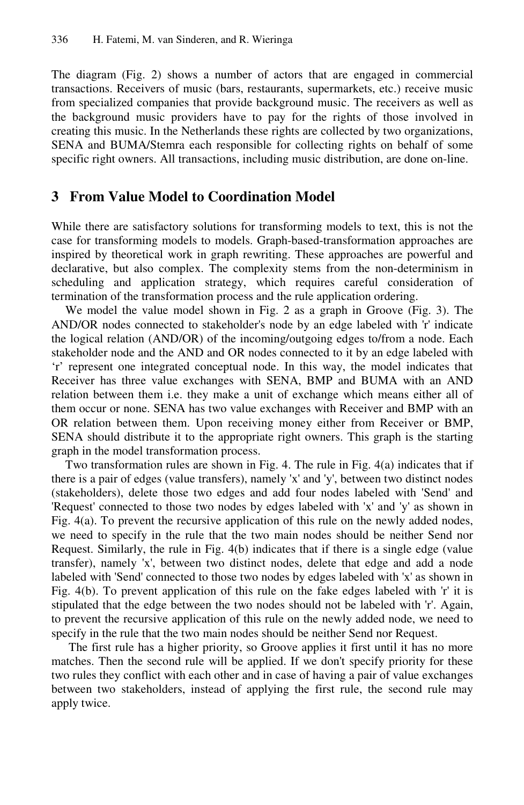The diagram (Fig. 2) shows a number of actors that are engaged in commercial transactions. Receivers of music (bars, restaurants, supermarkets, etc.) receive music from specialized companies that provide background music. The receivers as well as the background music providers have to pay for the rights of those involved in creating this music. In the Netherlands these rights are collected by two organizations, SENA and BUMA/Stemra each responsible for collecting rights on behalf of some specific right owners. All transactions, including music distribution, are done on-line.

#### **3 From Value Model to Coordination Model**

While there are satisfactory solutions for transforming models to text, this is not the case for transforming models to models. Graph-based-transformation approaches are inspired by theoretical work in graph rewriting. These approaches are powerful and declarative, but also complex. The complexity stems from the non-determinism in scheduling and application strategy, which requires careful consideration of termination of the transformation process and the rule application ordering.

We model the value model shown in Fig. 2 as a graph in Groove (Fig. 3). The AND/OR nodes connected to stakeholder's node by an edge labeled with 'r' indicate the logical relation (AND/OR) of the incoming/outgoing edges to/from a node. Each stakeholder node and the AND and OR nodes connected to it by an edge labeled with 'r' represent one integrated conceptual node. In this way, the model indicates that Receiver has three value exchanges with SENA, BMP and BUMA with an AND relation between them i.e. they make a unit of exchange which means either all of them occur or none. SENA has two value exchanges with Receiver and BMP with an OR relation between them. Upon receiving money either from Receiver or BMP, SENA should distribute it to the appropriate right owners. This graph is the starting graph in the model transformation process.

Two transformation rules are shown in Fig. 4. The rule in Fig. 4(a) indicates that if there is a pair of edges (value transfers), namely 'x' and 'y', between two distinct nodes (stakeholders), delete those two edges and add four nodes labeled with 'Send' and 'Request' connected to those two nodes by edges labeled with 'x' and 'y' as shown in Fig. 4(a). To prevent the recursive application of this rule on the newly added nodes, we need to specify in the rule that the two main nodes should be neither Send nor Request. Similarly, the rule in Fig. 4(b) indicates that if there is a single edge (value transfer), namely 'x', between two distinct nodes, delete that edge and add a node labeled with 'Send' connected to those two nodes by edges labeled with 'x' as shown in Fig. 4(b). To prevent application of this rule on the fake edges labeled with 'r' it is stipulated that the edge between the two nodes should not be labeled with 'r'. Again, to prevent the recursive application of this rule on the newly added node, we need to specify in the rule that the two main nodes should be neither Send nor Request.

The first rule has a higher priority, so Groove applies it first until it has no more matches. Then the second rule will be applied. If we don't specify priority for these two rules they conflict with each other and in case of having a pair of value exchanges between two stakeholders, instead of applying the first rule, the second rule may apply twice.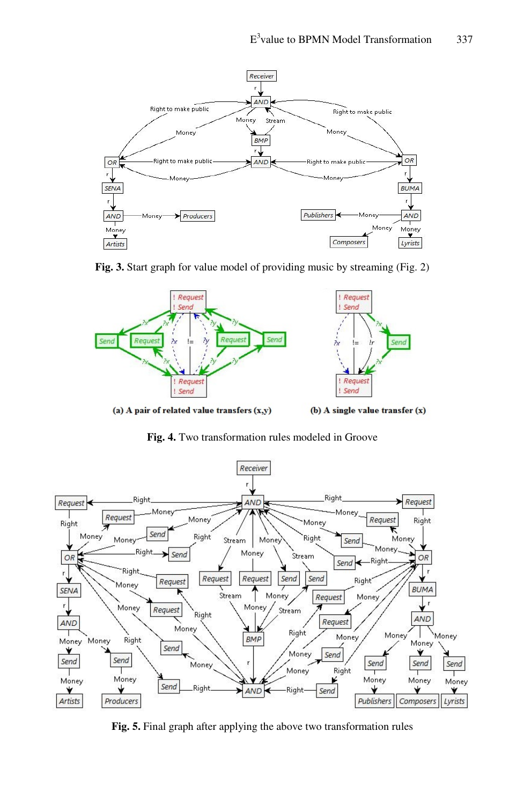

**Fig. 3.** Start graph for value model of providing music by streaming (Fig. 2)



**Fig. 4.** Two transformation rules modeled in Groove



**Fig. 5.** Final graph after applying the above two transformation rules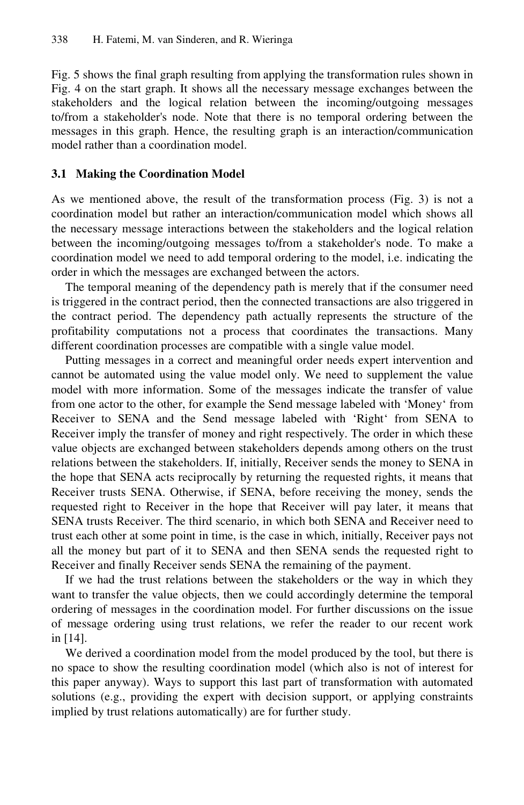Fig. 5 shows the final graph resulting from applying the transformation rules shown in Fig. 4 on the start graph. It shows all the necessary message exchanges between the stakeholders and the logical relation between the incoming/outgoing messages to/from a stakeholder's node. Note that there is no temporal ordering between the messages in this graph. Hence, the resulting graph is an interaction/communication model rather than a coordination model.

#### **3.1 Making the Coordination Model**

As we mentioned above, the result of the transformation process (Fig. 3) is not a coordination model but rather an interaction/communication model which shows all the necessary message interactions between the stakeholders and the logical relation between the incoming/outgoing messages to/from a stakeholder's node. To make a coordination model we need to add temporal ordering to the model, i.e. indicating the order in which the messages are exchanged between the actors.

The temporal meaning of the dependency path is merely that if the consumer need is triggered in the contract period, then the connected transactions are also triggered in the contract period. The dependency path actually represents the structure of the profitability computations not a process that coordinates the transactions. Many different coordination processes are compatible with a single value model.

Putting messages in a correct and meaningful order needs expert intervention and cannot be automated using the value model only. We need to supplement the value model with more information. Some of the messages indicate the transfer of value from one actor to the other, for example the Send message labeled with 'Money' from Receiver to SENA and the Send message labeled with 'Right' from SENA to Receiver imply the transfer of money and right respectively. The order in which these value objects are exchanged between stakeholders depends among others on the trust relations between the stakeholders. If, initially, Receiver sends the money to SENA in the hope that SENA acts reciprocally by returning the requested rights, it means that Receiver trusts SENA. Otherwise, if SENA, before receiving the money, sends the requested right to Receiver in the hope that Receiver will pay later, it means that SENA trusts Receiver. The third scenario, in which both SENA and Receiver need to trust each other at some point in time, is the case in which, initially, Receiver pays not all the money but part of it to SENA and then SENA sends the requested right to Receiver and finally Receiver sends SENA the remaining of the payment.

If we had the trust relations between the stakeholders or the way in which they want to transfer the value objects, then we could accordingly determine the temporal ordering of messages in the coordination model. For further discussions on the issue of message ordering using trust relations, we refer the reader to our recent work in [14].

We derived a coordination model from the model produced by the tool, but there is no space to show the resulting coordination model (which also is not of interest for this paper anyway). Ways to support this last part of transformation with automated solutions (e.g., providing the expert with decision support, or applying constraints implied by trust relations automatically) are for further study.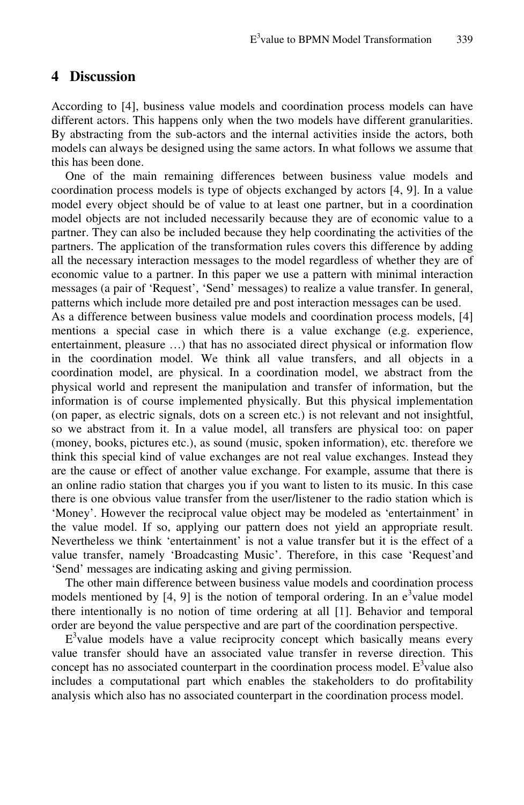### **4 Discussion**

According to [4], business value models and coordination process models can have different actors. This happens only when the two models have different granularities. By abstracting from the sub-actors and the internal activities inside the actors, both models can always be designed using the same actors. In what follows we assume that this has been done.

One of the main remaining differences between business value models and coordination process models is type of objects exchanged by actors [4, 9]. In a value model every object should be of value to at least one partner, but in a coordination model objects are not included necessarily because they are of economic value to a partner. They can also be included because they help coordinating the activities of the partners. The application of the transformation rules covers this difference by adding all the necessary interaction messages to the model regardless of whether they are of economic value to a partner. In this paper we use a pattern with minimal interaction messages (a pair of 'Request', 'Send' messages) to realize a value transfer. In general, patterns which include more detailed pre and post interaction messages can be used.

As a difference between business value models and coordination process models, [4] mentions a special case in which there is a value exchange (e.g. experience, entertainment, pleasure …) that has no associated direct physical or information flow in the coordination model. We think all value transfers, and all objects in a coordination model, are physical. In a coordination model, we abstract from the physical world and represent the manipulation and transfer of information, but the information is of course implemented physically. But this physical implementation (on paper, as electric signals, dots on a screen etc.) is not relevant and not insightful, so we abstract from it. In a value model, all transfers are physical too: on paper (money, books, pictures etc.), as sound (music, spoken information), etc. therefore we think this special kind of value exchanges are not real value exchanges. Instead they are the cause or effect of another value exchange. For example, assume that there is an online radio station that charges you if you want to listen to its music. In this case there is one obvious value transfer from the user/listener to the radio station which is 'Money'. However the reciprocal value object may be modeled as 'entertainment' in the value model. If so, applying our pattern does not yield an appropriate result. Nevertheless we think 'entertainment' is not a value transfer but it is the effect of a value transfer, namely 'Broadcasting Music'. Therefore, in this case 'Request'and 'Send' messages are indicating asking and giving permission.

The other main difference between business value models and coordination process models mentioned by  $[4, 9]$  is the notion of temporal ordering. In an  $e<sup>3</sup>$ value model there intentionally is no notion of time ordering at all [1]. Behavior and temporal order are beyond the value perspective and are part of the coordination perspective.

 $E<sup>3</sup>$ value models have a value reciprocity concept which basically means every value transfer should have an associated value transfer in reverse direction. This concept has no associated counterpart in the coordination process model.  $E<sup>3</sup>$  value also includes a computational part which enables the stakeholders to do profitability analysis which also has no associated counterpart in the coordination process model.